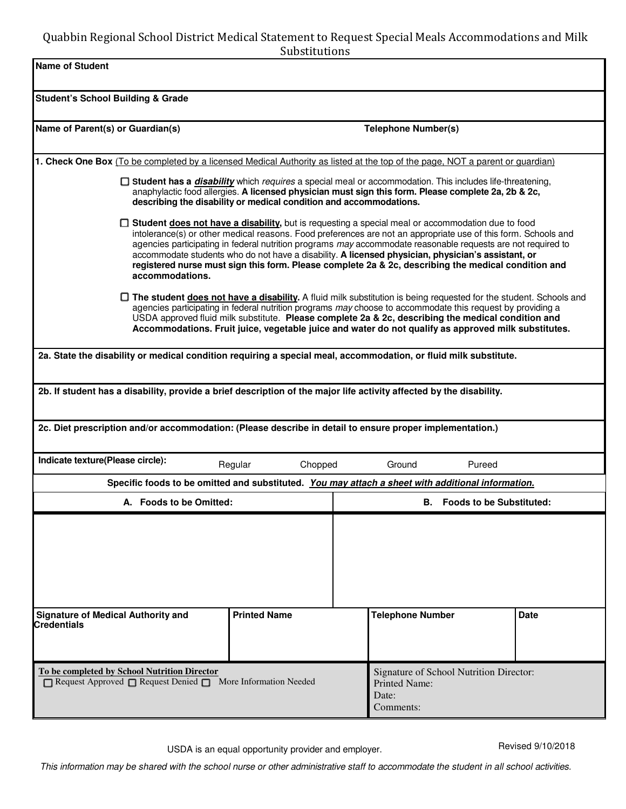# Quabbin Regional School District Medical Statement to Request Special Meals Accommodations and Milk Substitutions

| oupsututions                                                                                                                                                                                                                                                                                                                                                                                                                                           |                     |                                                                                                                                                                                                                                                                                                                                                                                                                                                                                                                                                    |                                         |  |
|--------------------------------------------------------------------------------------------------------------------------------------------------------------------------------------------------------------------------------------------------------------------------------------------------------------------------------------------------------------------------------------------------------------------------------------------------------|---------------------|----------------------------------------------------------------------------------------------------------------------------------------------------------------------------------------------------------------------------------------------------------------------------------------------------------------------------------------------------------------------------------------------------------------------------------------------------------------------------------------------------------------------------------------------------|-----------------------------------------|--|
| <b>Name of Student</b>                                                                                                                                                                                                                                                                                                                                                                                                                                 |                     |                                                                                                                                                                                                                                                                                                                                                                                                                                                                                                                                                    |                                         |  |
| <b>Student's School Building &amp; Grade</b>                                                                                                                                                                                                                                                                                                                                                                                                           |                     |                                                                                                                                                                                                                                                                                                                                                                                                                                                                                                                                                    |                                         |  |
|                                                                                                                                                                                                                                                                                                                                                                                                                                                        |                     |                                                                                                                                                                                                                                                                                                                                                                                                                                                                                                                                                    |                                         |  |
| Name of Parent(s) or Guardian(s)                                                                                                                                                                                                                                                                                                                                                                                                                       |                     | <b>Telephone Number(s)</b>                                                                                                                                                                                                                                                                                                                                                                                                                                                                                                                         |                                         |  |
| 1. Check One Box (To be completed by a licensed Medical Authority as listed at the top of the page, NOT a parent or guardian)                                                                                                                                                                                                                                                                                                                          |                     |                                                                                                                                                                                                                                                                                                                                                                                                                                                                                                                                                    |                                         |  |
| □ Student has a <i>disability</i> which <i>requires</i> a special meal or accommodation. This includes life-threatening,<br>anaphylactic food allergies. A licensed physician must sign this form. Please complete 2a, 2b & 2c,<br>describing the disability or medical condition and accommodations.                                                                                                                                                  |                     |                                                                                                                                                                                                                                                                                                                                                                                                                                                                                                                                                    |                                         |  |
| accommodations.                                                                                                                                                                                                                                                                                                                                                                                                                                        |                     | □ Student does not have a disability, but is requesting a special meal or accommodation due to food<br>intolerance(s) or other medical reasons. Food preferences are not an appropriate use of this form. Schools and<br>agencies participating in federal nutrition programs may accommodate reasonable requests are not required to<br>accommodate students who do not have a disability. A licensed physician, physician's assistant, or<br>registered nurse must sign this form. Please complete 2a & 2c, describing the medical condition and |                                         |  |
| □ The student <b>does not have a disability</b> . A fluid milk substitution is being requested for the student. Schools and<br>agencies participating in federal nutrition programs may choose to accommodate this request by providing a<br>USDA approved fluid milk substitute. Please complete 2a & 2c, describing the medical condition and<br>Accommodations. Fruit juice, vegetable juice and water do not qualify as approved milk substitutes. |                     |                                                                                                                                                                                                                                                                                                                                                                                                                                                                                                                                                    |                                         |  |
| 2a. State the disability or medical condition requiring a special meal, accommodation, or fluid milk substitute.                                                                                                                                                                                                                                                                                                                                       |                     |                                                                                                                                                                                                                                                                                                                                                                                                                                                                                                                                                    |                                         |  |
| 2b. If student has a disability, provide a brief description of the major life activity affected by the disability.                                                                                                                                                                                                                                                                                                                                    |                     |                                                                                                                                                                                                                                                                                                                                                                                                                                                                                                                                                    |                                         |  |
| 2c. Diet prescription and/or accommodation: (Please describe in detail to ensure proper implementation.)                                                                                                                                                                                                                                                                                                                                               |                     |                                                                                                                                                                                                                                                                                                                                                                                                                                                                                                                                                    |                                         |  |
| Indicate texture(Please circle):<br>Regular<br>Chopped<br>Ground<br>Pureed                                                                                                                                                                                                                                                                                                                                                                             |                     |                                                                                                                                                                                                                                                                                                                                                                                                                                                                                                                                                    |                                         |  |
| Specific foods to be omitted and substituted. You may attach a sheet with additional information.                                                                                                                                                                                                                                                                                                                                                      |                     |                                                                                                                                                                                                                                                                                                                                                                                                                                                                                                                                                    |                                         |  |
| A. Foods to be Omitted:                                                                                                                                                                                                                                                                                                                                                                                                                                |                     |                                                                                                                                                                                                                                                                                                                                                                                                                                                                                                                                                    | <b>B.</b> Foods to be Substituted:      |  |
|                                                                                                                                                                                                                                                                                                                                                                                                                                                        |                     |                                                                                                                                                                                                                                                                                                                                                                                                                                                                                                                                                    |                                         |  |
| <b>Signature of Medical Authority and</b><br><b>Credentials</b>                                                                                                                                                                                                                                                                                                                                                                                        | <b>Printed Name</b> | <b>Telephone Number</b>                                                                                                                                                                                                                                                                                                                                                                                                                                                                                                                            | <b>Date</b>                             |  |
| To be completed by School Nutrition Director<br>$\Box$ Request Approved $\Box$ Request Denied $\Box$ More Information Needed                                                                                                                                                                                                                                                                                                                           |                     | <b>Printed Name:</b><br>Date:<br>Comments:                                                                                                                                                                                                                                                                                                                                                                                                                                                                                                         | Signature of School Nutrition Director: |  |

This information may be shared with the school nurse or other administrative staff to accommodate the student in all school activities.